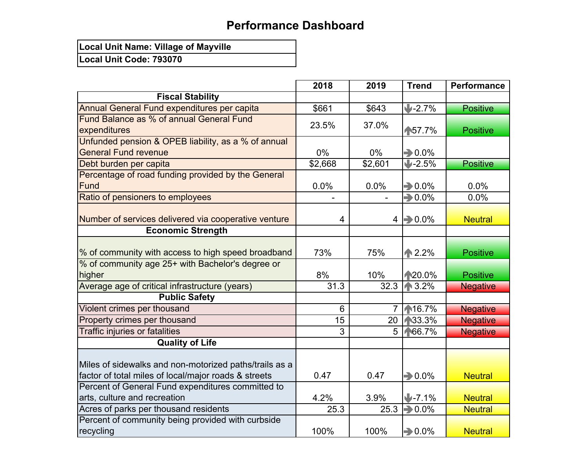## **Performance Dashboard**

**Local Unit Name: Village of Mayville**

**Local Unit Code: 793070**

|                                                        | 2018    | 2019           | <b>Trend</b>        | <b>Performance</b> |
|--------------------------------------------------------|---------|----------------|---------------------|--------------------|
| <b>Fiscal Stability</b>                                |         |                |                     |                    |
| <b>Annual General Fund expenditures per capita</b>     | \$661   | \$643          | $1 - 2.7%$          | <b>Positive</b>    |
| Fund Balance as % of annual General Fund               | 23.5%   | 37.0%          |                     |                    |
| expenditures                                           |         |                | ₼57.7%              | <b>Positive</b>    |
| Unfunded pension & OPEB liability, as a % of annual    |         |                |                     |                    |
| <b>General Fund revenue</b>                            | $0\%$   | $0\%$          | $\rightarrow$ 0.0%  |                    |
| Debt burden per capita                                 | \$2,668 | \$2,601        | $1 - 2.5%$          | <b>Positive</b>    |
| Percentage of road funding provided by the General     |         |                |                     |                    |
| <b>Fund</b>                                            | 0.0%    | 0.0%           | $\rightarrow 0.0\%$ | 0.0%               |
| Ratio of pensioners to employees                       |         |                | $\Rightarrow 0.0\%$ | 0.0%               |
|                                                        |         |                |                     |                    |
| Number of services delivered via cooperative venture   | 4       |                | $4 \implies 0.0\%$  | <b>Neutral</b>     |
| <b>Economic Strength</b>                               |         |                |                     |                    |
|                                                        |         |                |                     |                    |
| % of community with access to high speed broadband     | 73%     | 75%            | $\binom{1}{1}$ 2.2% | <b>Positive</b>    |
| % of community age 25+ with Bachelor's degree or       |         |                |                     |                    |
| higher                                                 | 8%      | 10%            | ₼20.0%              | <b>Positive</b>    |
| Average age of critical infrastructure (years)         | 31.3    | 32.3           | ₼ 3.2%              | <b>Negative</b>    |
| <b>Public Safety</b>                                   |         |                |                     |                    |
| Violent crimes per thousand                            | 6       | $\overline{7}$ | ₼16.7%              | <b>Negative</b>    |
| Property crimes per thousand                           | 15      | 20             | ₼33.3%              | <b>Negative</b>    |
| <b>Traffic injuries or fatalities</b>                  | 3       | 5 <sup>5</sup> | ₼66.7%              | <b>Negative</b>    |
| <b>Quality of Life</b>                                 |         |                |                     |                    |
|                                                        |         |                |                     |                    |
| Miles of sidewalks and non-motorized paths/trails as a |         |                |                     |                    |
| factor of total miles of local/major roads & streets   | 0.47    | 0.47           | $\Rightarrow 0.0\%$ | <b>Neutral</b>     |
| Percent of General Fund expenditures committed to      |         |                |                     |                    |
| arts, culture and recreation                           | 4.2%    | 3.9%           | $J - 7.1%$          | <b>Neutral</b>     |
| Acres of parks per thousand residents                  | 25.3    | 25.3           | $\rightarrow 0.0\%$ | <b>Neutral</b>     |
| Percent of community being provided with curbside      |         |                |                     |                    |
| recycling                                              | 100%    | 100%           | $\rightarrow 0.0\%$ | <b>Neutral</b>     |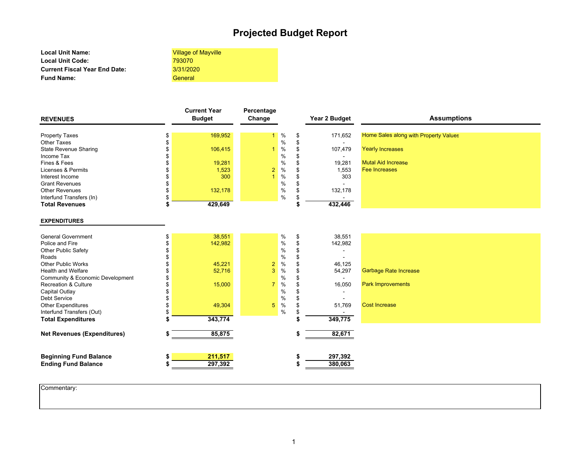### **Projected Budget Report**

**Local Unit Name: Local Unit Code: Current Fiscal Year End Date: Fund Name:**

Village of Mayville 3/31/2020793070 General

| <b>REVENUES</b>          | <b>Current Year</b><br><b>Budget</b> | Percentage<br>Change |                | Year 2 Budget | <b>Assumptions</b>                    |
|--------------------------|--------------------------------------|----------------------|----------------|---------------|---------------------------------------|
| Property Taxes           | 169,952                              |                      | $\frac{1}{2}$  | 171,652       | Home Sales along with Property Values |
| Other Taxes              |                                      |                      | $\%$           |               |                                       |
| State Revenue Sharing    | 106,415                              |                      | $\%$           | 107,479       | <b>Yearly Increases</b>               |
| Income Tax               |                                      |                      | %              |               |                                       |
| Fines & Fees             | 19,281                               |                      | %              | 19,281        | <b>Mutal Aid Increase</b>             |
| Licenses & Permits       | 1,523                                |                      | $2\frac{9}{6}$ | 1,553         | <b>Fee Increases</b>                  |
| Interest Income          | 300                                  |                      | %              | 303           |                                       |
| <b>Grant Revenues</b>    |                                      |                      | %              |               |                                       |
| <b>Other Revenues</b>    | 132,178                              |                      | %              | 132,178       |                                       |
| Interfund Transfers (In) |                                      |                      | %              |               |                                       |
| <b>Total Revenues</b>    | 429,649                              |                      |                | 432,446       |                                       |

#### **EXPENDITURES**

| <b>Ending Fund Balance</b>         | 297,392 |             |               | 380,063 |                              |
|------------------------------------|---------|-------------|---------------|---------|------------------------------|
| <b>Beginning Fund Balance</b>      | 211,517 |             |               | 297,392 |                              |
| <b>Net Revenues (Expenditures)</b> | 85,875  |             |               | 82,671  |                              |
| <b>Total Expenditures</b>          | 343,774 |             |               | 349,775 |                              |
| Interfund Transfers (Out)          |         |             | $\%$          |         |                              |
| <b>Other Expenditures</b>          | 49,304  | 5           | $\%$          | 51,769  | <b>Cost Increase</b>         |
| <b>Debt Service</b>                |         |             | %             |         |                              |
| Capital Outlay                     |         |             | $\frac{0}{0}$ |         |                              |
| <b>Recreation &amp; Culture</b>    | 15,000  |             | %             | 16,050  | <b>Park Improvements</b>     |
| Community & Economic Development   |         |             | $\frac{0}{0}$ |         |                              |
| <b>Health and Welfare</b>          | 52,716  | 3           | $\%$          | 54,297  | <b>Garbage Rate Increase</b> |
| <b>Other Public Works</b>          | 45,221  | $2^{\circ}$ | $\frac{9}{6}$ | 46,125  |                              |
| Roads                              |         |             | $\frac{0}{0}$ |         |                              |
| <b>Other Public Safety</b>         |         |             | $\%$          |         |                              |
| Police and Fire                    | 142,982 |             | $\%$          | 142,982 |                              |
| <b>General Government</b>          | 38,551  |             | %             | 38,551  |                              |

Commentary: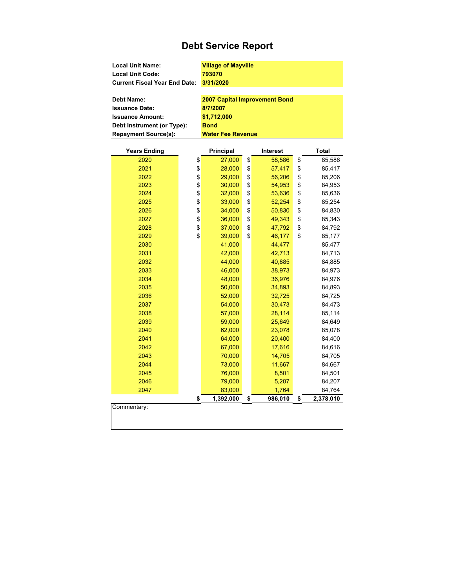### **Debt Service Report**

| Local Unit Name:                     | <b>Village of Mayville</b>           |
|--------------------------------------|--------------------------------------|
| <b>Local Unit Code:</b>              | 793070                               |
| <b>Current Fiscal Year End Date:</b> | 3/31/2020                            |
|                                      |                                      |
| <b>Debt Name:</b>                    | <b>2007 Capital Improvement Bond</b> |
| <b>Issuance Date:</b>                | 8/7/2007                             |
| <b>Issuance Amount:</b>              | \$1,712,000                          |
| Debt Instrument (or Type):           | <b>Bond</b>                          |
| <b>Repayment Source(s):</b>          | <b>Water Fee Revenue</b>             |

| <b>Years Ending</b> |          | <b>Principal</b> | <b>Interest</b> | <b>Total</b>    |
|---------------------|----------|------------------|-----------------|-----------------|
| 2020                | \$       | 27,000           | \$<br>58,586    | \$<br>85,586    |
| 2021                | \$       | 28,000           | \$<br>57,417    | \$<br>85,417    |
| 2022                |          | 29,000           | \$<br>56,206    | \$<br>85,206    |
| 2023                | \$<br>\$ | 30,000           | \$<br>54,953    | \$<br>84,953    |
| 2024                | \$       | 32,000           | \$<br>53,636    | \$<br>85,636    |
| 2025                | \$       | 33,000           | \$<br>52,254    | \$<br>85,254    |
| 2026                | \$       | 34,000           | \$<br>50,830    | \$<br>84,830    |
| 2027                | \$       | 36,000           | \$<br>49,343    | \$<br>85,343    |
| 2028                | \$       | 37,000           | \$<br>47,792    | \$<br>84,792    |
| 2029                | \$       | 39,000           | \$<br>46,177    | \$<br>85,177    |
| 2030                |          | 41,000           | 44,477          | 85,477          |
| 2031                |          | 42,000           | 42,713          | 84,713          |
| 2032                |          | 44,000           | 40,885          | 84,885          |
| 2033                |          | 46,000           | 38,973          | 84,973          |
| 2034                |          | 48,000           | 36,976          | 84,976          |
| 2035                |          | 50,000           | 34,893          | 84,893          |
| 2036                |          | 52,000           | 32,725          | 84,725          |
| 2037                |          | 54,000           | 30,473          | 84,473          |
| 2038                |          | 57,000           | 28,114          | 85,114          |
| 2039                |          | 59,000           | 25,649          | 84,649          |
| 2040                |          | 62,000           | 23,078          | 85,078          |
| 2041                |          | 64,000           | 20,400          | 84,400          |
| 2042                |          | 67,000           | 17,616          | 84,616          |
| 2043                |          | 70,000           | 14,705          | 84,705          |
| 2044                |          | 73,000           | 11,667          | 84,667          |
| 2045                |          | 76,000           | 8,501           | 84,501          |
| 2046                |          | 79,000           | 5,207           | 84,207          |
| 2047                |          | 83,000           | 1,764           | 84,764          |
|                     | \$       | 1,392,000        | \$<br>986,010   | \$<br>2,378,010 |
| Commentary:         |          |                  |                 |                 |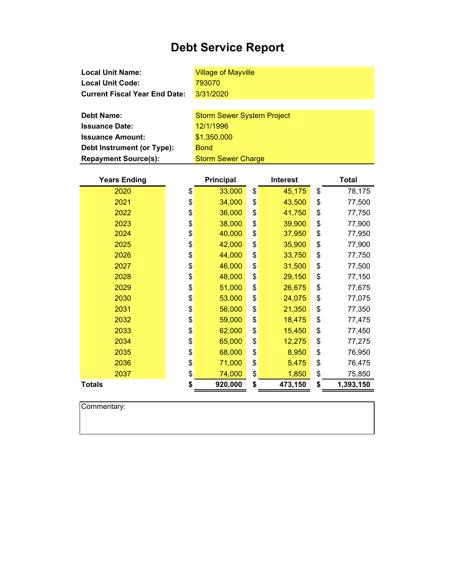# **Debt Service Report**

| <b>Local Unit Name:</b>              | <b>Village of Mayville</b>        |  |  |  |
|--------------------------------------|-----------------------------------|--|--|--|
| <b>Local Unit Code:</b>              | 793070                            |  |  |  |
| <b>Current Fiscal Year End Date:</b> | 3/31/2020                         |  |  |  |
|                                      |                                   |  |  |  |
| <b>Debt Name:</b>                    | <b>Storm Sewer System Project</b> |  |  |  |
| <b>Issuance Date:</b>                | 12/1/1996                         |  |  |  |
| <b>Issuance Amount:</b>              | \$1,350,000                       |  |  |  |
| Debt Instrument (or Type):           | <b>Bond</b>                       |  |  |  |
| <b>Repayment Source(s):</b>          | <b>Storm Sewer Charge</b>         |  |  |  |

| <b>Years Ending</b> | <b>Principal</b> |    | <b>Interest</b> | <b>Total</b>    |
|---------------------|------------------|----|-----------------|-----------------|
| 2020                | \$<br>33,000     | \$ | 45,175          | \$<br>78,175    |
| 2021                | \$<br>34,000     | \$ | 43,500          | \$<br>77,500    |
| 2022                | \$<br>36,000     | \$ | 41,750          | \$<br>77,750    |
| 2023                | \$<br>38,000     | \$ | 39,900          | \$<br>77,900    |
| 2024                | \$<br>40,000     | \$ | 37,950          | \$<br>77,950    |
| 2025                | \$<br>42,000     | \$ | 35,900          | \$<br>77,900    |
| 2026                | \$<br>44,000     | \$ | 33,750          | \$<br>77,750    |
| 2027                | \$<br>46,000     | \$ | 31,500          | \$<br>77,500    |
| 2028                | \$<br>48,000     | \$ | 29,150          | \$<br>77,150    |
| 2029                | \$<br>51,000     | \$ | 26,675          | \$<br>77,675    |
| 2030                | \$<br>53,000     | \$ | 24,075          | \$<br>77,075    |
| 2031                | \$<br>56,000     | \$ | 21,350          | \$<br>77,350    |
| 2032                | \$<br>59,000     | \$ | 18,475          | \$<br>77,475    |
| 2033                | \$<br>62,000     | \$ | 15,450          | \$<br>77,450    |
| 2034                | \$<br>65,000     | \$ | 12,275          | \$<br>77,275    |
| 2035                | \$<br>68,000     | \$ | 8,950           | \$<br>76,950    |
| 2036                | \$<br>71,000     | \$ | 5,475           | \$<br>76,475    |
| 2037                | \$<br>74,000     | \$ | 1,850           | \$<br>75,850    |
| <b>Totals</b>       | \$<br>920,000    | \$ | 473,150         | \$<br>1,393,150 |

| Commentary: |  |  |  |
|-------------|--|--|--|
|             |  |  |  |
|             |  |  |  |
|             |  |  |  |

 $\overline{\phantom{a}}$